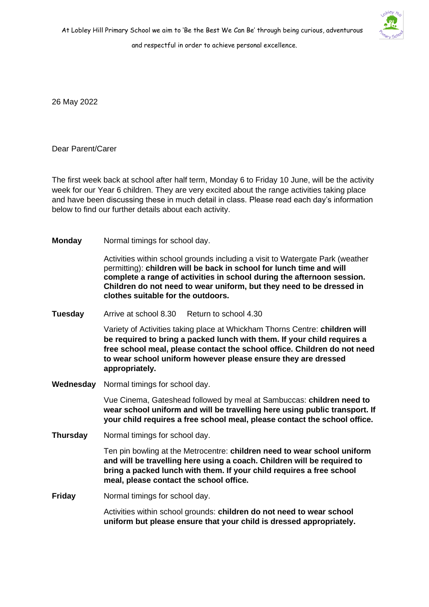and respectful in order to achieve personal excellence.

26 May 2022

Dear Parent/Carer

The first week back at school after half term, Monday 6 to Friday 10 June, will be the activity week for our Year 6 children. They are very excited about the range activities taking place and have been discussing these in much detail in class. Please read each day's information below to find our further details about each activity.

**Monday** Normal timings for school day.

Activities within school grounds including a visit to Watergate Park (weather permitting): **children will be back in school for lunch time and will complete a range of activities in school during the afternoon session. Children do not need to wear uniform, but they need to be dressed in clothes suitable for the outdoors.**

**Tuesday** Arrive at school 8.30 Return to school 4.30

Variety of Activities taking place at Whickham Thorns Centre: **children will be required to bring a packed lunch with them. If your child requires a free school meal, please contact the school office. Children do not need to wear school uniform however please ensure they are dressed appropriately.**

**Wednesday** Normal timings for school day.

Vue Cinema, Gateshead followed by meal at Sambuccas: **children need to wear school uniform and will be travelling here using public transport. If your child requires a free school meal, please contact the school office.**

**Thursday** Normal timings for school day.

Ten pin bowling at the Metrocentre: **children need to wear school uniform and will be travelling here using a coach. Children will be required to bring a packed lunch with them. If your child requires a free school meal, please contact the school office.**

**Friday** Normal timings for school day.

Activities within school grounds: **children do not need to wear school uniform but please ensure that your child is dressed appropriately.**